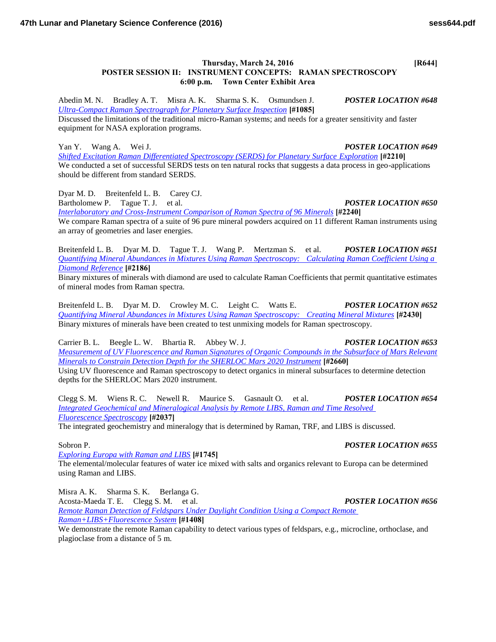## **Thursday, March 24, 2016 [R644] POSTER SESSION II: INSTRUMENT CONCEPTS: RAMAN SPECTROSCOPY 6:00 p.m. Town Center Exhibit Area**

Abedin M. N. Bradley A. T. Misra A. K. Sharma S. K. Osmundsen J. *POSTER LOCATION #648 [Ultra-Compact Raman Spectrograph for Planetary Surface Inspection](http://www.hou.usra.edu/meetings/lpsc2016/pdf/1085.pdf)* **[#1085]**

Discussed the limitations of the traditional micro-Raman systems; and needs for a greater sensitivity and faster equipment for NASA exploration programs.

Yan Y. Wang A. Wei J. *POSTER LOCATION #649*

*[Shifted Excitation Raman Differentiated Spectroscopy \(SERDS\) for Planetary Surface Exploration](http://www.hou.usra.edu/meetings/lpsc2016/pdf/2210.pdf)* **[#2210]** We conducted a set of successful SERDS tests on ten natural rocks that suggests a data process in geo-applications should be different from standard SERDS.

Dyar M. D. Breitenfeld L. B. Carey CJ. Bartholomew P. Tague T. J. et al. *POSTER LOCATION #650 [Interlaboratory and Cross-Instrument Comparison of Raman Spectra of 96 Minerals](http://www.hou.usra.edu/meetings/lpsc2016/pdf/2240.pdf)* **[#2240]**

We compare Raman spectra of a suite of 96 pure mineral powders acquired on 11 different Raman instruments using an array of geometries and laser energies.

Breitenfeld L. B. Dyar M. D. Tague T. J. Wang P. Mertzman S. et al. *POSTER LOCATION #651 [Quantifying Mineral Abundances in Mixtures Using Raman Spectroscopy: Calculating Raman Coefficient Using a](http://www.hou.usra.edu/meetings/lpsc2016/pdf/2186.pdf)  [Diamond Reference](http://www.hou.usra.edu/meetings/lpsc2016/pdf/2186.pdf)* **[#2186]**

Binary mixtures of minerals with diamond are used to calculate Raman Coefficients that permit quantitative estimates of mineral modes from Raman spectra.

Breitenfeld L. B. Dyar M. D. Crowley M. C. Leight C. Watts E. *POSTER LOCATION #652 [Quantifying Mineral Abundances in Mixtures Using Raman Spectroscopy: Creating Mineral Mixtures](http://www.hou.usra.edu/meetings/lpsc2016/pdf/2430.pdf)* **[#2430]** Binary mixtures of minerals have been created to test unmixing models for Raman spectroscopy.

Carrier B. L. Beegle L. W. Bhartia R. Abbey W. J. *POSTER LOCATION #653 [Measurement of UV Fluorescence and Raman Signatures of Organic Compounds in the Subsurface of Mars Relevant](http://www.hou.usra.edu/meetings/lpsc2016/pdf/2660.pdf)  [Minerals to Constrain Detection Depth for the SHERLOC Mars 2020 Instrument](http://www.hou.usra.edu/meetings/lpsc2016/pdf/2660.pdf)* **[#2660]** Using UV fluorescence and Raman spectroscopy to detect organics in mineral subsurfaces to determine detection

depths for the SHERLOC Mars 2020 instrument.

Clegg S. M. Wiens R. C. Newell R. Maurice S. Gasnault O. et al. *POSTER LOCATION #654 [Integrated Geochemical and Mineralogical Analysis by Remote LIBS, Raman and Time Resolved](http://www.hou.usra.edu/meetings/lpsc2016/pdf/2037.pdf)  [Fluorescence Spectroscopy](http://www.hou.usra.edu/meetings/lpsc2016/pdf/2037.pdf)* **[#2037]**

The integrated geochemistry and mineralogy that is determined by Raman, TRF, and LIBS is discussed.

*[Exploring Europa with Raman and LIBS](http://www.hou.usra.edu/meetings/lpsc2016/pdf/1745.pdf)* **[#1745]** The elemental/molecular features of water ice mixed with salts and organics relevant to Europa can be determined using Raman and LIBS.

Misra A. K. Sharma S. K. Berlanga G. Acosta-Maeda T. E. Clegg S. M. et al. *POSTER LOCATION #656*

*[Remote Raman Detection of Feldspars Under Daylight Condition Using a Compact Remote](http://www.hou.usra.edu/meetings/lpsc2016/pdf/1408.pdf)  [Raman+LIBS+Fluorescence System](http://www.hou.usra.edu/meetings/lpsc2016/pdf/1408.pdf)* **[#1408]**

We demonstrate the remote Raman capability to detect various types of feldspars, e.g., microcline, orthoclase, and plagioclase from a distance of 5 m.

# Sobron P. *POSTER LOCATION #655*